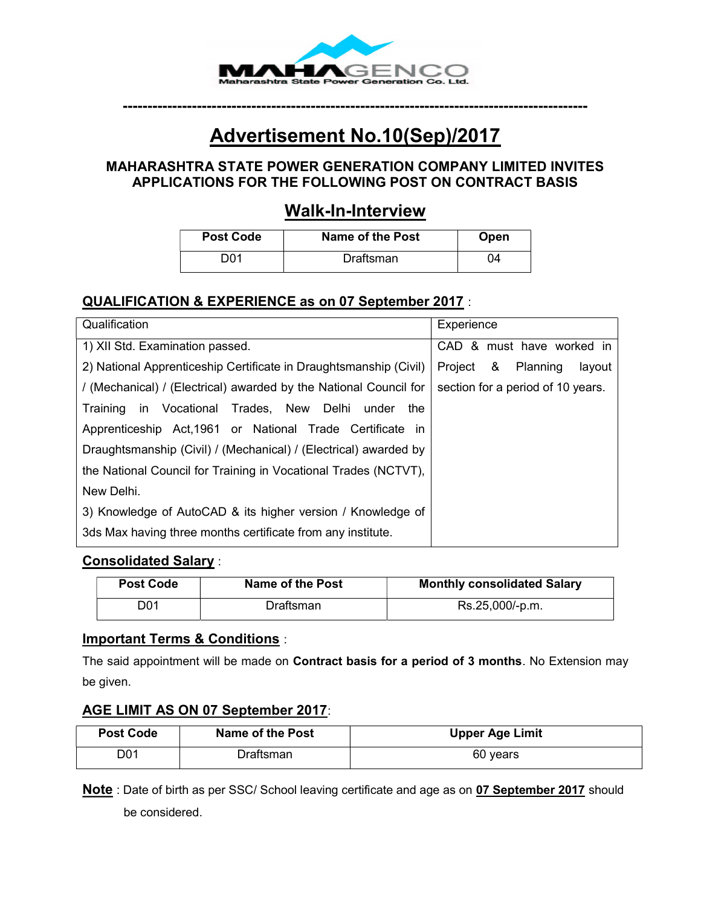

# Advertisement No.10(Sep)/2017

----------------------------------------------------------------------------------------------

#### MAHARASHTRA STATE POWER GENERATION COMPANY LIMITED INVITES APPLICATIONS FOR THE FOLLOWING POST ON CONTRACT BASIS

## Walk-In-Interview

| <b>Post Code</b> | Name of the Post | Open |
|------------------|------------------|------|
| nn 1             | Draftsman        | ባ4   |

### QUALIFICATION & EXPERIENCE as on 07 September 2017 :

| Qualification                                                     | Experience                        |
|-------------------------------------------------------------------|-----------------------------------|
| 1) XII Std. Examination passed.                                   | CAD & must have worked in         |
| 2) National Apprenticeship Certificate in Draughtsmanship (Civil) | Project & Planning<br>layout      |
| / (Mechanical) / (Electrical) awarded by the National Council for | section for a period of 10 years. |
| in Vocational Trades, New Delhi<br>the<br>Training<br>under       |                                   |
| Apprenticeship Act, 1961 or National Trade Certificate in         |                                   |
| Draughtsmanship (Civil) / (Mechanical) / (Electrical) awarded by  |                                   |
| the National Council for Training in Vocational Trades (NCTVT),   |                                   |
| New Delhi.                                                        |                                   |
| 3) Knowledge of AutoCAD & its higher version / Knowledge of       |                                   |
| 3ds Max having three months certificate from any institute.       |                                   |

#### Consolidated Salary :

| <b>Post Code</b> | Name of the Post | <b>Monthly consolidated Salary</b> |
|------------------|------------------|------------------------------------|
| D01              | Draftsman        | Rs.25,000/-p.m.                    |

#### Important Terms & Conditions :

The said appointment will be made on Contract basis for a period of 3 months. No Extension may be given.

#### AGE LIMIT AS ON 07 September 2017:

| <b>Post Code</b> | <b>Name of the Post</b> | <b>Upper Age Limit</b> |
|------------------|-------------------------|------------------------|
| D01              | Draftsman∶              | 60 years               |

Note: Date of birth as per SSC/ School leaving certificate and age as on 07 September 2017 should be considered.